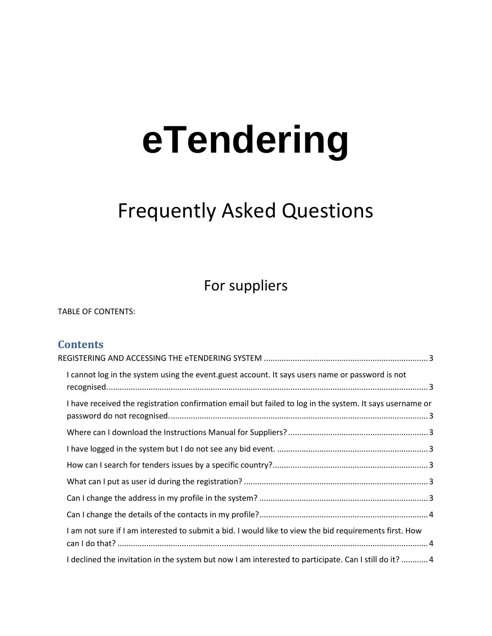# **eTendering**

# Frequently Asked Questions

For suppliers

TABLE OF CONTENTS:

# **Contents**

| I cannot log in the system using the event guest account. It says users name or password is not          |  |
|----------------------------------------------------------------------------------------------------------|--|
| I have received the registration confirmation email but failed to log in the system. It says username or |  |
|                                                                                                          |  |
|                                                                                                          |  |
|                                                                                                          |  |
|                                                                                                          |  |
|                                                                                                          |  |
|                                                                                                          |  |
| I am not sure if I am interested to submit a bid. I would like to view the bid requirements first. How   |  |
| I declined the invitation in the system but now I am interested to participate. Can I still do it? 4     |  |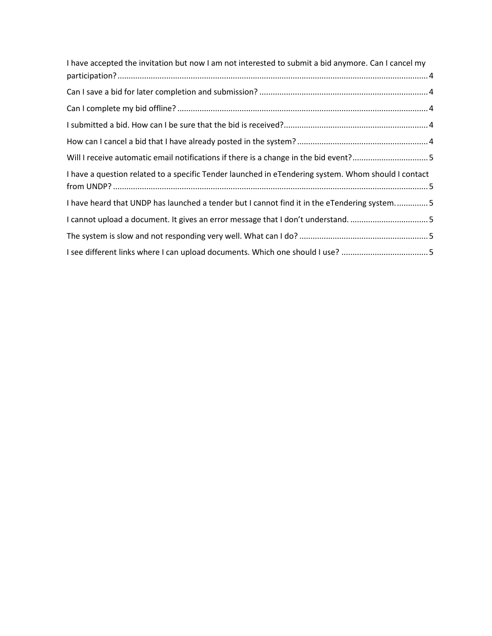| I have accepted the invitation but now I am not interested to submit a bid anymore. Can I cancel my |  |
|-----------------------------------------------------------------------------------------------------|--|
|                                                                                                     |  |
|                                                                                                     |  |
|                                                                                                     |  |
|                                                                                                     |  |
|                                                                                                     |  |
| Will I receive automatic email notifications if there is a change in the bid event?5                |  |
| I have a question related to a specific Tender launched in eTendering system. Whom should I contact |  |
| I have heard that UNDP has launched a tender but I cannot find it in the eTendering system5         |  |
|                                                                                                     |  |
|                                                                                                     |  |
| I see different links where I can upload documents. Which one should I use? 5                       |  |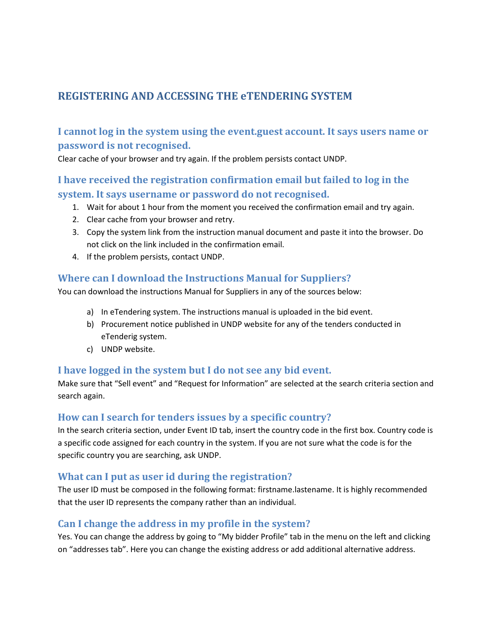# <span id="page-2-0"></span>**REGISTERING AND ACCESSING THE eTENDERING SYSTEM**

# <span id="page-2-1"></span>**I cannot log in the system using the event.guest account. It says users name or password is not recognised.**

Clear cache of your browser and try again. If the problem persists contact UNDP.

# <span id="page-2-2"></span>**I have received the registration confirmation email but failed to log in the system. It says username or password do not recognised.**

- 1. Wait for about 1 hour from the moment you received the confirmation email and try again.
- 2. Clear cache from your browser and retry.
- 3. Copy the system link from the instruction manual document and paste it into the browser. Do not click on the link included in the confirmation email.
- 4. If the problem persists, contact UNDP.

#### <span id="page-2-3"></span>**Where can I download the Instructions Manual for Suppliers?**

You can download the instructions Manual for Suppliers in any of the sources below:

- a) In eTendering system. The instructions manual is uploaded in the bid event.
- b) Procurement notice published in UNDP website for any of the tenders conducted in eTenderig system.
- c) UNDP website.

#### <span id="page-2-4"></span>**I have logged in the system but I do not see any bid event.**

Make sure that "Sell event" and "Request for Information" are selected at the search criteria section and search again.

#### <span id="page-2-5"></span>**How can I search for tenders issues by a specific country?**

In the search criteria section, under Event ID tab, insert the country code in the first box. Country code is a specific code assigned for each country in the system. If you are not sure what the code is for the specific country you are searching, ask UNDP.

#### <span id="page-2-6"></span>**What can I put as user id during the registration?**

The user ID must be composed in the following format: firstname.lastename. It is highly recommended that the user ID represents the company rather than an individual.

# <span id="page-2-7"></span>**Can I change the address in my profile in the system?**

Yes. You can change the address by going to "My bidder Profile" tab in the menu on the left and clicking on "addresses tab". Here you can change the existing address or add additional alternative address.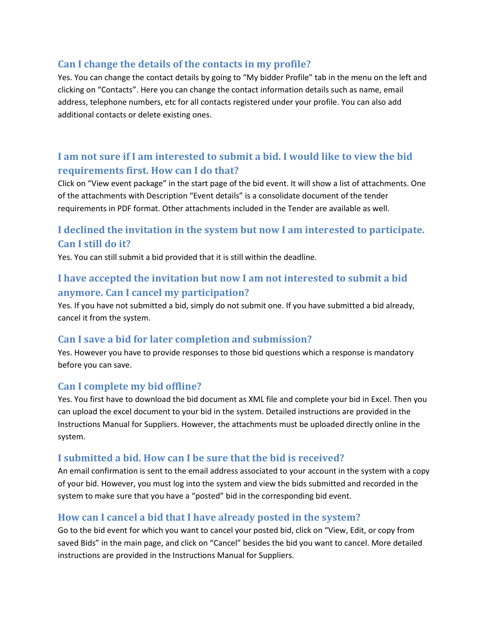# <span id="page-3-0"></span>**Can I change the details of the contacts in my profile?**

Yes. You can change the contact details by going to "My bidder Profile" tab in the menu on the left and clicking on "Contacts". Here you can change the contact information details such as name, email address, telephone numbers, etc for all contacts registered under your profile. You can also add additional contacts or delete existing ones.

# <span id="page-3-1"></span>**I am not sure if I am interested to submit a bid. I would like to view the bid requirements first. How can I do that?**

Click on "View event package" in the start page of the bid event. It will show a list of attachments. One of the attachments with Description "Event details" is a consolidate document of the tender requirements in PDF format. Other attachments included in the Tender are available as well.

# <span id="page-3-2"></span>**I declined the invitation in the system but now I am interested to participate. Can I still do it?**

Yes. You can still submit a bid provided that it is still within the deadline.

# <span id="page-3-3"></span>**I have accepted the invitation but now I am not interested to submit a bid anymore. Can I cancel my participation?**

Yes. If you have not submitted a bid, simply do not submit one. If you have submitted a bid already, cancel it from the system.

# <span id="page-3-4"></span>**Can I save a bid for later completion and submission?**

Yes. However you have to provide responses to those bid questions which a response is mandatory before you can save.

#### <span id="page-3-5"></span>**Can I complete my bid offline?**

Yes. You first have to download the bid document as XML file and complete your bid in Excel. Then you can upload the excel document to your bid in the system. Detailed instructions are provided in the Instructions Manual for Suppliers. However, the attachments must be uploaded directly online in the system.

# <span id="page-3-6"></span>**I submitted a bid. How can I be sure that the bid is received?**

An email confirmation is sent to the email address associated to your account in the system with a copy of your bid. However, you must log into the system and view the bids submitted and recorded in the system to make sure that you have a "posted" bid in the corresponding bid event.

# <span id="page-3-7"></span>**How can I cancel a bid that I have already posted in the system?**

Go to the bid event for which you want to cancel your posted bid, click on "View, Edit, or copy from saved Bids" in the main page, and click on "Cancel" besides the bid you want to cancel. More detailed instructions are provided in the Instructions Manual for Suppliers.